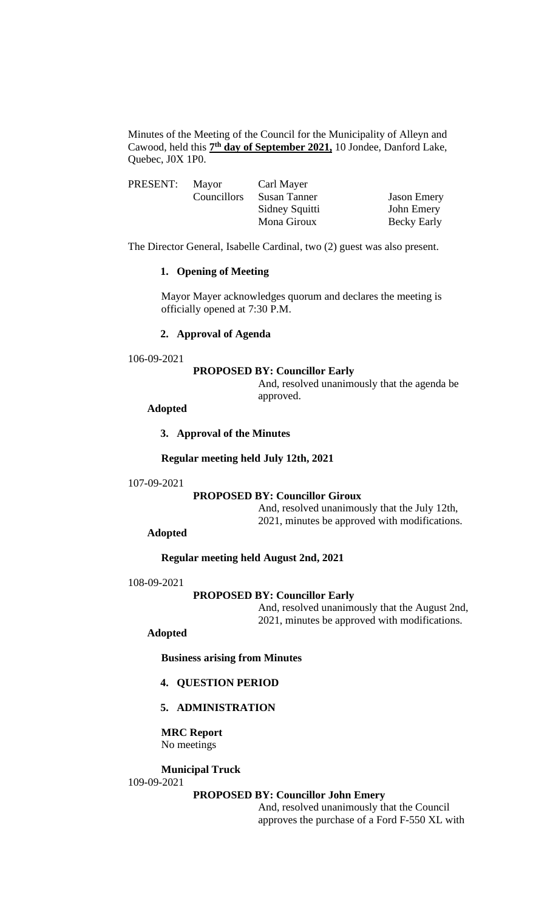Minutes of the Meeting of the Council for the Municipality of Alleyn and Cawood, held this **7 th day of September 2021,** 10 Jondee, Danford Lake, Quebec, J0X 1P0.

| PRESENT: | Mayor       | Carl Mayer     |                    |
|----------|-------------|----------------|--------------------|
|          | Councillors | Susan Tanner   | <b>Jason Emery</b> |
|          |             | Sidney Squitti | John Emery         |
|          |             | Mona Giroux    | Becky Early        |

The Director General, Isabelle Cardinal, two (2) guest was also present.

### **1. Opening of Meeting**

Mayor Mayer acknowledges quorum and declares the meeting is officially opened at 7:30 P.M.

# **2. Approval of Agenda**

#### 106-09-2021

# **PROPOSED BY: Councillor Early**

And, resolved unanimously that the agenda be approved.

### **Adopted**

### **3. Approval of the Minutes**

### **Regular meeting held July 12th, 2021**

#### 107-09-2021

# **PROPOSED BY: Councillor Giroux**

And, resolved unanimously that the July 12th, 2021, minutes be approved with modifications.

# **Adopted**

### **Regular meeting held August 2nd, 2021**

#### 108-09-2021

# **PROPOSED BY: Councillor Early**

And, resolved unanimously that the August 2nd, 2021, minutes be approved with modifications.

# **Adopted**

**Business arising from Minutes**

# **4. QUESTION PERIOD**

# **5. ADMINISTRATION**

**MRC Report** No meetings

# **Municipal Truck**

# 109-09-2021

## **PROPOSED BY: Councillor John Emery**

And, resolved unanimously that the Council approves the purchase of a Ford F-550 XL with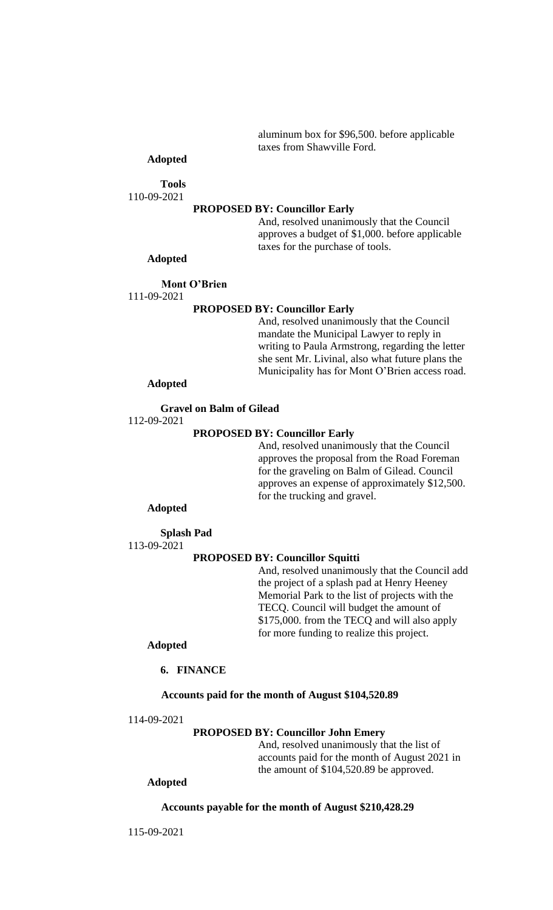aluminum box for \$96,500. before applicable taxes from Shawville Ford.

# **Adopted**

**Tools**

110-09-2021

#### **PROPOSED BY: Councillor Early**

And, resolved unanimously that the Council approves a budget of \$1,000. before applicable taxes for the purchase of tools.

# **Adopted**

## **Mont O'Brien**

111-09-2021

### **PROPOSED BY: Councillor Early**

And, resolved unanimously that the Council mandate the Municipal Lawyer to reply in writing to Paula Armstrong, regarding the letter she sent Mr. Livinal, also what future plans the Municipality has for Mont O'Brien access road.

## **Adopted**

**Gravel on Balm of Gilead**

112-09-2021

### **PROPOSED BY: Councillor Early**

And, resolved unanimously that the Council approves the proposal from the Road Foreman for the graveling on Balm of Gilead. Council approves an expense of approximately \$12,500. for the trucking and gravel.

### **Adopted**

**Splash Pad** 113-09-2021

### **PROPOSED BY: Councillor Squitti**

And, resolved unanimously that the Council add the project of a splash pad at Henry Heeney Memorial Park to the list of projects with the TECQ. Council will budget the amount of \$175,000. from the TECQ and will also apply for more funding to realize this project.

# **Adopted**

**6. FINANCE**

### **Accounts paid for the month of August \$104,520.89**

114-09-2021

#### **PROPOSED BY: Councillor John Emery**

And, resolved unanimously that the list of accounts paid for the month of August 2021 in the amount of \$104,520.89 be approved.

# **Adopted**

#### **Accounts payable for the month of August \$210,428.29**

115-09-2021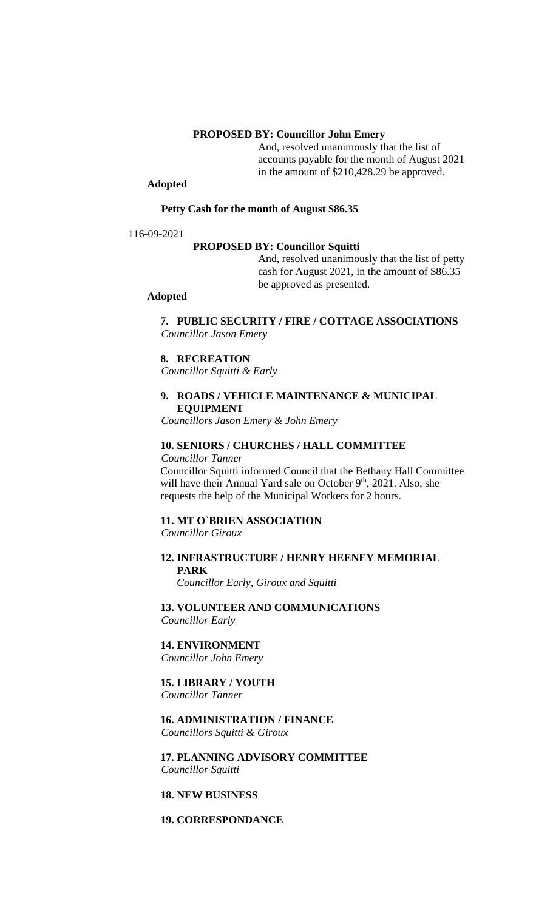## **PROPOSED BY: Councillor John Emery**

And, resolved unanimously that the list of accounts payable for the month of August 2021 in the amount of \$210,428.29 be approved.

# **Adopted**

#### **Petty Cash for the month of August \$86.35**

116-09-2021

### **PROPOSED BY: Councillor Squitti**

And, resolved unanimously that the list of petty cash for August 2021, in the amount of \$86.35 be approved as presented.

### **Adopted**

# **7. PUBLIC SECURITY / FIRE / COTTAGE ASSOCIATIONS** *Councillor Jason Emery*

#### **8. RECREATION**

*Councillor Squitti & Early*

# **9. ROADS / VEHICLE MAINTENANCE & MUNICIPAL EQUIPMENT**

*Councillors Jason Emery & John Emery*

### **10. SENIORS / CHURCHES / HALL COMMITTEE**

# *Councillor Tanner*

Councillor Squitti informed Council that the Bethany Hall Committee will have their Annual Yard sale on October 9<sup>th</sup>, 2021. Also, she requests the help of the Municipal Workers for 2 hours.

# **11. MT O`BRIEN ASSOCIATION**

*Councillor Giroux*

# **12. INFRASTRUCTURE / HENRY HEENEY MEMORIAL PARK**

*Councillor Early, Giroux and Squitti*

**13. VOLUNTEER AND COMMUNICATIONS** *Councillor Early*

# **14. ENVIRONMENT**

*Councillor John Emery*

# **15. LIBRARY / YOUTH**

*Councillor Tanner*

### **16. ADMINISTRATION / FINANCE** *Councillors Squitti & Giroux*

### **17. PLANNING ADVISORY COMMITTEE** *Councillor Squitti*

#### **18. NEW BUSINESS**

# **19. CORRESPONDANCE**